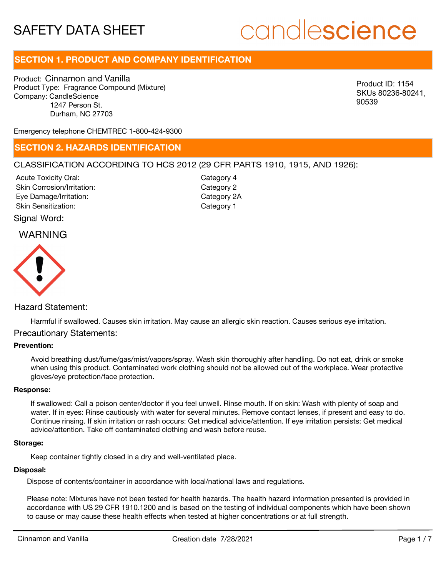# candlescience

# **SECTION 1. PRODUCT AND COMPANY IDENTIFICATION**

Product: Cinnamon and Vanilla Product Type: Fragrance Compound (Mixture) Company: CandleScience 1247 Person St. Durham, NC 27703

Product ID: 1154 SKUs 80236-80241, 90539

Emergency telephone CHEMTREC 1-800-424-9300

### **SECTION 2. HAZARDS IDENTIFICATION**

#### CLASSIFICATION ACCORDING TO HCS 2012 (29 CFR PARTS 1910, 1915, AND 1926):

Acute Toxicity Oral: Skin Corrosion/Irritation: Eye Damage/Irritation: Skin Sensitization:

Category 4 Category 2 Category 2A Category 1

Signal Word:

## WARNING



#### Hazard Statement:

Harmful if swallowed. Causes skin irritation. May cause an allergic skin reaction. Causes serious eye irritation.

#### Precautionary Statements:

#### **Prevention:**

Avoid breathing dust/fume/gas/mist/vapors/spray. Wash skin thoroughly after handling. Do not eat, drink or smoke when using this product. Contaminated work clothing should not be allowed out of the workplace. Wear protective gloves/eye protection/face protection.

#### **Response:**

If swallowed: Call a poison center/doctor if you feel unwell. Rinse mouth. If on skin: Wash with plenty of soap and water. If in eyes: Rinse cautiously with water for several minutes. Remove contact lenses, if present and easy to do. Continue rinsing. If skin irritation or rash occurs: Get medical advice/attention. If eye irritation persists: Get medical advice/attention. Take off contaminated clothing and wash before reuse.

#### **Storage:**

Keep container tightly closed in a dry and well-ventilated place.

#### **Disposal:**

Dispose of contents/container in accordance with local/national laws and regulations.

Please note: Mixtures have not been tested for health hazards. The health hazard information presented is provided in accordance with US 29 CFR 1910.1200 and is based on the testing of individual components which have been shown to cause or may cause these health effects when tested at higher concentrations or at full strength.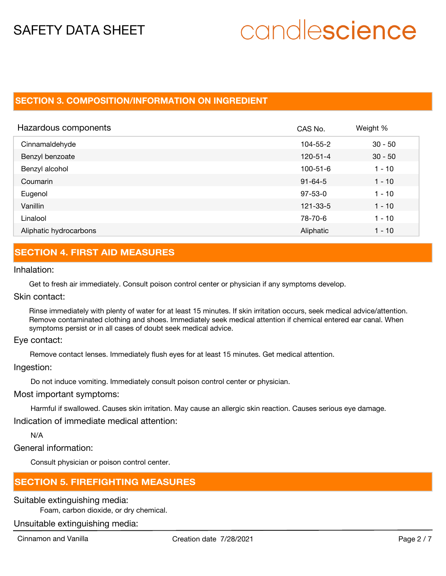# candlescience

# **SECTION 3. COMPOSITION/INFORMATION ON INGREDIENT**

| Hazardous components   | CAS No.        | Weight %  |
|------------------------|----------------|-----------|
| Cinnamaldehyde         | 104-55-2       | $30 - 50$ |
| Benzyl benzoate        | $120 - 51 - 4$ | $30 - 50$ |
| Benzyl alcohol         | 100-51-6       | $1 - 10$  |
| Coumarin               | $91 - 64 - 5$  | $1 - 10$  |
| Eugenol                | $97 - 53 - 0$  | $1 - 10$  |
| Vanillin               | 121-33-5       | $1 - 10$  |
| Linalool               | 78-70-6        | $1 - 10$  |
| Aliphatic hydrocarbons | Aliphatic      | $1 - 10$  |

# **SECTION 4. FIRST AID MEASURES**

Inhalation:

Get to fresh air immediately. Consult poison control center or physician if any symptoms develop.

Skin contact:

Rinse immediately with plenty of water for at least 15 minutes. If skin irritation occurs, seek medical advice/attention. Remove contaminated clothing and shoes. Immediately seek medical attention if chemical entered ear canal. When symptoms persist or in all cases of doubt seek medical advice.

Eye contact:

Remove contact lenses. Immediately flush eyes for at least 15 minutes. Get medical attention.

Ingestion:

Do not induce vomiting. Immediately consult poison control center or physician.

Most important symptoms:

Harmful if swallowed. Causes skin irritation. May cause an allergic skin reaction. Causes serious eye damage.

Indication of immediate medical attention:

N/A

General information:

Consult physician or poison control center.

## **SECTION 5. FIREFIGHTING MEASURES**

Suitable extinguishing media:

Foam, carbon dioxide, or dry chemical.

Unsuitable extinguishing media: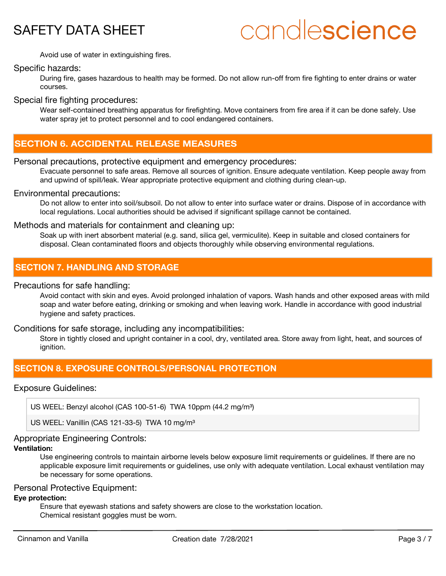

# candlescience

Avoid use of water in extinguishing fires.

#### Specific hazards:

During fire, gases hazardous to health may be formed. Do not allow run-off from fire fighting to enter drains or water courses.

Special fire fighting procedures:

Wear self-contained breathing apparatus for firefighting. Move containers from fire area if it can be done safely. Use water spray jet to protect personnel and to cool endangered containers.

## **SECTION 6. ACCIDENTAL RELEASE MEASURES**

#### Personal precautions, protective equipment and emergency procedures:

Evacuate personnel to safe areas. Remove all sources of ignition. Ensure adequate ventilation. Keep people away from and upwind of spill/leak. Wear appropriate protective equipment and clothing during clean-up.

#### Environmental precautions:

Do not allow to enter into soil/subsoil. Do not allow to enter into surface water or drains. Dispose of in accordance with local regulations. Local authorities should be advised if significant spillage cannot be contained.

#### Methods and materials for containment and cleaning up:

Soak up with inert absorbent material (e.g. sand, silica gel, vermiculite). Keep in suitable and closed containers for disposal. Clean contaminated floors and objects thoroughly while observing environmental regulations.

# **SECTION 7. HANDLING AND STORAGE**

#### Precautions for safe handling:

Avoid contact with skin and eyes. Avoid prolonged inhalation of vapors. Wash hands and other exposed areas with mild soap and water before eating, drinking or smoking and when leaving work. Handle in accordance with good industrial hygiene and safety practices.

#### Conditions for safe storage, including any incompatibilities:

Store in tightly closed and upright container in a cool, dry, ventilated area. Store away from light, heat, and sources of ignition.

## **SECTION 8. EXPOSURE CONTROLS/PERSONAL PROTECTION**

#### Exposure Guidelines:

US WEEL: Benzyl alcohol (CAS 100-51-6) TWA 10ppm (44.2 mg/m<sup>3</sup>)

US WEEL: Vanillin (CAS 121-33-5) TWA 10 mg/m<sup>3</sup>

## Appropriate Engineering Controls:

### **Ventilation:**

Use engineering controls to maintain airborne levels below exposure limit requirements or guidelines. If there are no applicable exposure limit requirements or guidelines, use only with adequate ventilation. Local exhaust ventilation may be necessary for some operations.

#### Personal Protective Equipment:

#### **Eye protection:**

Ensure that eyewash stations and safety showers are close to the workstation location. Chemical resistant goggles must be worn.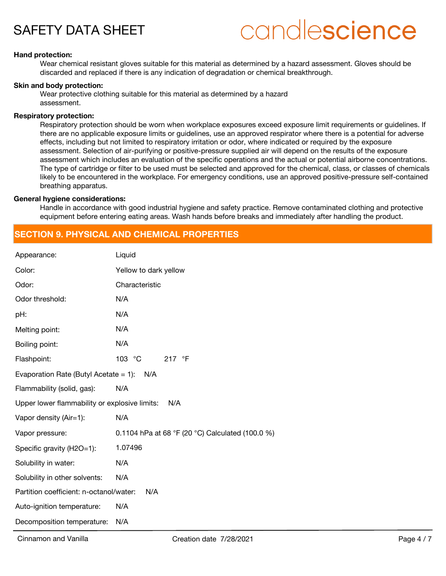# candlescience

#### **Hand protection:**

Wear chemical resistant gloves suitable for this material as determined by a hazard assessment. Gloves should be discarded and replaced if there is any indication of degradation or chemical breakthrough.

#### **Skin and body protection:**

Wear protective clothing suitable for this material as determined by a hazard assessment.

#### **Respiratory protection:**

Respiratory protection should be worn when workplace exposures exceed exposure limit requirements or guidelines. If there are no applicable exposure limits or guidelines, use an approved respirator where there is a potential for adverse effects, including but not limited to respiratory irritation or odor, where indicated or required by the exposure assessment. Selection of air-purifying or positive-pressure supplied air will depend on the results of the exposure assessment which includes an evaluation of the specific operations and the actual or potential airborne concentrations. The type of cartridge or filter to be used must be selected and approved for the chemical, class, or classes of chemicals likely to be encountered in the workplace. For emergency conditions, use an approved positive-pressure self-contained breathing apparatus.

#### **General hygiene considerations:**

Handle in accordance with good industrial hygiene and safety practice. Remove contaminated clothing and protective equipment before entering eating areas. Wash hands before breaks and immediately after handling the product.

### **SECTION 9. PHYSICAL AND CHEMICAL PROPERTIES**

| Appearance:                                          | Liquid                                           |  |
|------------------------------------------------------|--------------------------------------------------|--|
| Color:                                               | Yellow to dark yellow                            |  |
| Odor:                                                | Characteristic                                   |  |
| Odor threshold:                                      | N/A                                              |  |
| pH:                                                  | N/A                                              |  |
| Melting point:                                       | N/A                                              |  |
| Boiling point:                                       | N/A                                              |  |
| Flashpoint:                                          | 103 °C<br>217 $\degree$ F                        |  |
| Evaporation Rate (Butyl Acetate = 1):<br>N/A         |                                                  |  |
| Flammability (solid, gas):                           | N/A                                              |  |
| Upper lower flammability or explosive limits:<br>N/A |                                                  |  |
| Vapor density (Air=1):                               | N/A                                              |  |
| Vapor pressure:                                      | 0.1104 hPa at 68 °F (20 °C) Calculated (100.0 %) |  |
| Specific gravity (H2O=1):                            | 1.07496                                          |  |
| Solubility in water:                                 | N/A                                              |  |
| Solubility in other solvents:                        | N/A                                              |  |
| Partition coefficient: n-octanol/water:<br>N/A       |                                                  |  |
| Auto-ignition temperature:                           | N/A                                              |  |
| Decomposition temperature:                           | N/A                                              |  |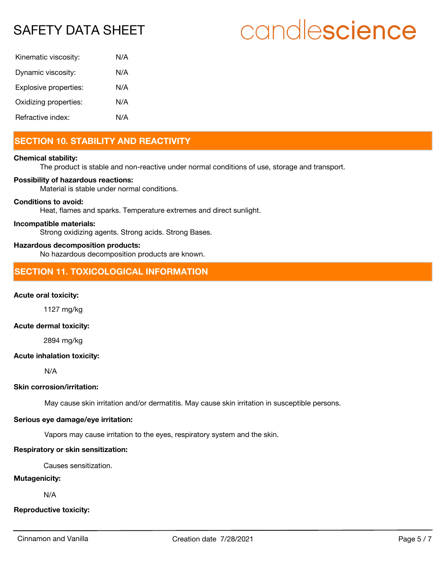# candlescience

| Kinematic viscosity:  | N/A |
|-----------------------|-----|
| Dynamic viscosity:    | N/A |
| Explosive properties: | N/A |
| Oxidizing properties: | N/A |
| Refractive index:     | N/A |

# **SECTION 10. STABILITY AND REACTIVITY**

#### **Chemical stability:**

The product is stable and non-reactive under normal conditions of use, storage and transport.

#### **Possibility of hazardous reactions:**

Material is stable under normal conditions.

#### **Conditions to avoid:**

Heat, flames and sparks. Temperature extremes and direct sunlight.

#### **Incompatible materials:**

Strong oxidizing agents. Strong acids. Strong Bases.

#### **Hazardous decomposition products:**

No hazardous decomposition products are known.

## **SECTION 11. TOXICOLOGICAL INFORMATION**

#### **Acute oral toxicity:**

1127 mg/kg

#### **Acute dermal toxicity:**

2894 mg/kg

#### **Acute inhalation toxicity:**

N/A

#### **Skin corrosion/irritation:**

May cause skin irritation and/or dermatitis. May cause skin irritation in susceptible persons.

#### **Serious eye damage/eye irritation:**

Vapors may cause irritation to the eyes, respiratory system and the skin.

#### **Respiratory or skin sensitization:**

Causes sensitization.

#### **Mutagenicity:**

N/A

#### **Reproductive toxicity:**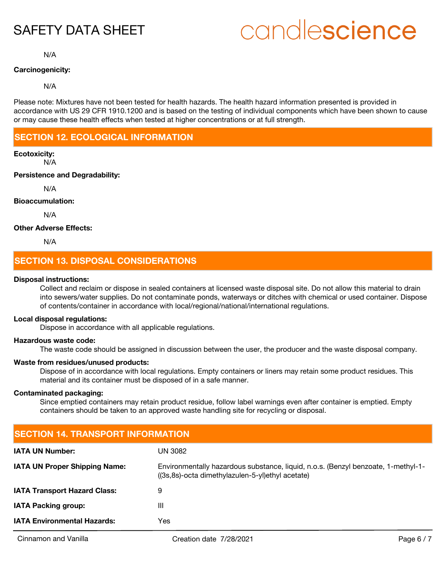# candlescience

N/A

#### **Carcinogenicity:**

#### N/A

Please note: Mixtures have not been tested for health hazards. The health hazard information presented is provided in accordance with US 29 CFR 1910.1200 and is based on the testing of individual components which have been shown to cause or may cause these health effects when tested at higher concentrations or at full strength.

# **SECTION 12. ECOLOGICAL INFORMATION**

### **Ecotoxicity:**

N/A

#### **Persistence and Degradability:**

N/A

#### **Bioaccumulation:**

N/A

#### **Other Adverse Effects:**

N/A

# **SECTION 13. DISPOSAL CONSIDERATIONS**

#### **Disposal instructions:**

Collect and reclaim or dispose in sealed containers at licensed waste disposal site. Do not allow this material to drain into sewers/water supplies. Do not contaminate ponds, waterways or ditches with chemical or used container. Dispose of contents/container in accordance with local/regional/national/international regulations.

#### **Local disposal regulations:**

Dispose in accordance with all applicable regulations.

#### **Hazardous waste code:**

The waste code should be assigned in discussion between the user, the producer and the waste disposal company.

#### **Waste from residues/unused products:**

Dispose of in accordance with local regulations. Empty containers or liners may retain some product residues. This material and its container must be disposed of in a safe manner.

#### **Contaminated packaging:**

Since emptied containers may retain product residue, follow label warnings even after container is emptied. Empty containers should be taken to an approved waste handling site for recycling or disposal.

| <b>SECTION 14. TRANSPORT INFORMATION</b>                                                                                              |  |  |
|---------------------------------------------------------------------------------------------------------------------------------------|--|--|
| UN 3082                                                                                                                               |  |  |
| Environmentally hazardous substance, liquid, n.o.s. (Benzyl benzoate, 1-methyl-1-<br>((3s,8s)-octa dimethylazulen-5-yl)ethyl acetate) |  |  |
| 9                                                                                                                                     |  |  |
| Ш                                                                                                                                     |  |  |
| Yes                                                                                                                                   |  |  |
|                                                                                                                                       |  |  |